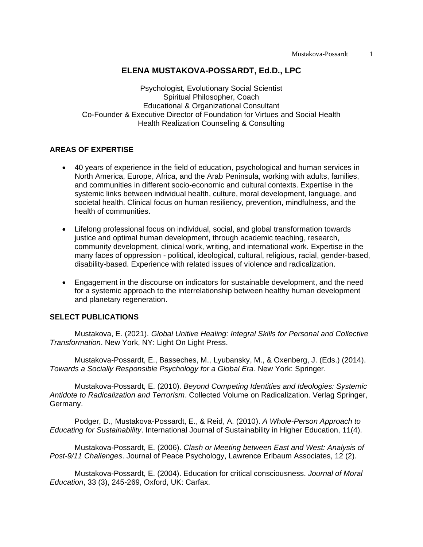## **ELENA MUSTAKOVA-POSSARDT, Ed.D., LPC**

Psychologist, Evolutionary Social Scientist Spiritual Philosopher, Coach Educational & Organizational Consultant Co-Founder & Executive Director of Foundation for Virtues and Social Health Health Realization Counseling & Consulting

## **AREAS OF EXPERTISE**

- 40 years of experience in the field of education, psychological and human services in North America, Europe, Africa, and the Arab Peninsula, working with adults, families, and communities in different socio-economic and cultural contexts. Expertise in the systemic links between individual health, culture, moral development, language, and societal health. Clinical focus on human resiliency*,* prevention, mindfulness, and the health of communities.
- Lifelong professional focus on individual, social, and global transformation towards justice and optimal human development, through academic teaching, research, community development, clinical work, writing, and international work. Expertise in the many faces of oppression - political, ideological, cultural, religious, racial, gender-based, disability-based. Experience with related issues of violence and radicalization.
- Engagement in the discourse on indicators for sustainable development, and the need for a systemic approach to the interrelationship between healthy human development and planetary regeneration.

## **SELECT PUBLICATIONS**

Mustakova, E. (2021). *Global Unitive Healing: Integral Skills for Personal and Collective Transformation*. New York, NY: Light On Light Press.

Mustakova-Possardt, E., Basseches, M., Lyubansky, M., & Oxenberg, J. (Eds.) (2014). *Towards a Socially Responsible Psychology for a Global Era*. New York: Springer.

Mustakova-Possardt, E. (2010). *Beyond Competing Identities and Ideologies: Systemic Antidote to Radicalization and Terrorism*. Collected Volume on Radicalization. Verlag Springer, Germany.

Podger, D., Mustakova-Possardt, E., & Reid, A. (2010). *A Whole-Person Approach to Educating for Sustainability*. International Journal of Sustainability in Higher Education, 11(4).

Mustakova-Possardt, E. (2006). *Clash or Meeting between East and West: Analysis of Post-9/11 Challenges*. Journal of Peace Psychology, Lawrence Erlbaum Associates, 12 (2).

Mustakova-Possardt, E. (2004). Education for critical consciousness. *Journal of Moral Education*, 33 (3), 245-269, Oxford, UK: Carfax.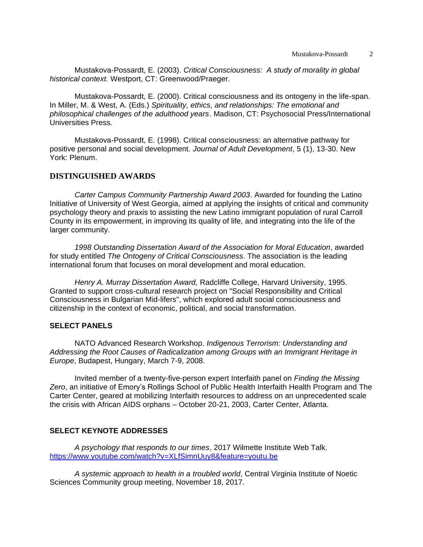Mustakova-Possardt, E. (2003). *Critical Consciousness: A study of morality in global historical context.* Westport, CT: Greenwood/Praeger.

Mustakova-Possardt, E. (2000). Critical consciousness and its ontogeny in the life-span. In Miller, M. & West, A. (Eds.) *Spirituality, ethics, and relationships: The emotional and philosophical challenges of the adulthood years*. Madison, CT: Psychosocial Press/International Universities Press.

Mustakova-Possardt, E. (1998). Critical consciousness: an alternative pathway for positive personal and social development. *Journal of Adult Development*, 5 (1), 13-30. New York: Plenum.

## **DISTINGUISHED AWARDS**

*Carter Campus Community Partnership Award 2003*. Awarded for founding the Latino Initiative of University of West Georgia, aimed at applying the insights of critical and community psychology theory and praxis to assisting the new Latino immigrant population of rural Carroll County in its empowerment, in improving its quality of life, and integrating into the life of the larger community.

*1998 Outstanding Dissertation Award of the Association for Moral Education*, awarded for study entitled *The Ontogeny of Critical Consciousness*. The association is the leading international forum that focuses on moral development and moral education.

*Henry A. Murray Dissertation Award,* Radcliffe College, Harvard University, 1995. Granted to support cross-cultural research project on "Social Responsibility and Critical Consciousness in Bulgarian Mid-lifers", which explored adult social consciousness and citizenship in the context of economic, political, and social transformation.

## **SELECT PANELS**

NATO Advanced Research Workshop. *Indigenous Terrorism: Understanding and Addressing the Root Causes of Radicalization among Groups with an Immigrant Heritage in Europe*, Budapest, Hungary, March 7-9, 2008.

Invited member of a twenty-five-person expert Interfaith panel on *Finding the Missing Zero*, an initiative of Emory's Rollings School of Public Health Interfaith Health Program and The Carter Center, geared at mobilizing Interfaith resources to address on an unprecedented scale the crisis with African AIDS orphans – October 20-21, 2003, Carter Center, Atlanta.

#### **SELECT KEYNOTE ADDRESSES**

*A psychology that responds to our times*, 2017 Wilmette Institute Web Talk. <https://www.youtube.com/watch?v=XLfSimnUuy8&feature=youtu.be>

*A systemic approach to health in a troubled world*, Central Virginia Institute of Noetic Sciences Community group meeting, November 18, 2017.